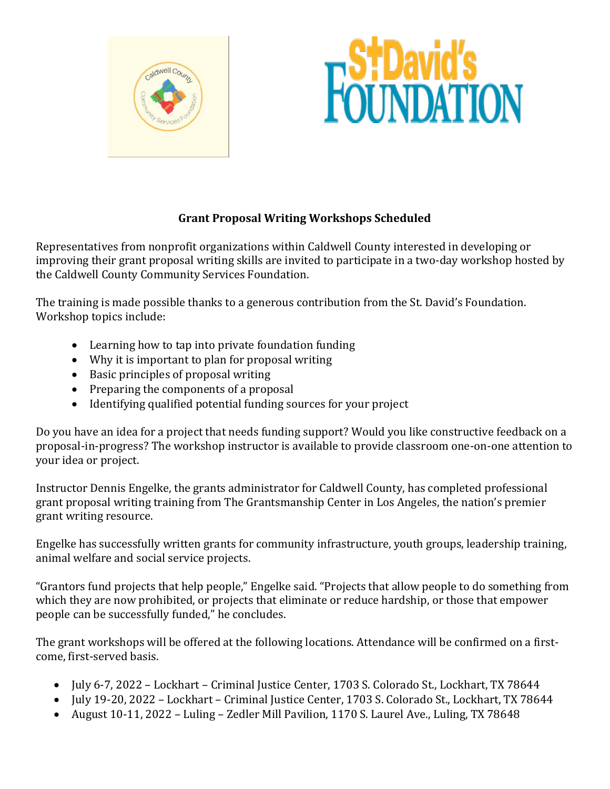



## **Grant Proposal Writing Workshops Scheduled**

Representatives from nonprofit organizations within Caldwell County interested in developing or improving their grant proposal writing skills are invited to participate in a two-day workshop hosted by the Caldwell County Community Services Foundation.

The training is made possible thanks to a generous contribution from the St. David's Foundation. Workshop topics include:

- Learning how to tap into private foundation funding
- Why it is important to plan for proposal writing
- Basic principles of proposal writing
- Preparing the components of a proposal
- Identifying qualified potential funding sources for your project

Do you have an idea for a project that needs funding support? Would you like constructive feedback on a proposal-in-progress? The workshop instructor is available to provide classroom one-on-one attention to your idea or project.

Instructor Dennis Engelke, the grants administrator for Caldwell County, has completed professional grant proposal writing training from The Grantsmanship Center in Los Angeles, the nation's premier grant writing resource.

Engelke has successfully written grants for community infrastructure, youth groups, leadership training, animal welfare and social service projects.

"Grantors fund projects that help people," Engelke said. "Projects that allow people to do something from which they are now prohibited, or projects that eliminate or reduce hardship, or those that empower people can be successfully funded," he concludes.

The grant workshops will be offered at the following locations. Attendance will be confirmed on a firstcome, first-served basis.

- July 6-7, 2022 Lockhart Criminal Justice Center, 1703 S. Colorado St., Lockhart, TX 78644
- July 19-20, 2022 Lockhart Criminal Justice Center, 1703 S. Colorado St., Lockhart, TX 78644
- August 10-11, 2022 Luling Zedler Mill Pavilion, 1170 S. Laurel Ave., Luling, TX 78648